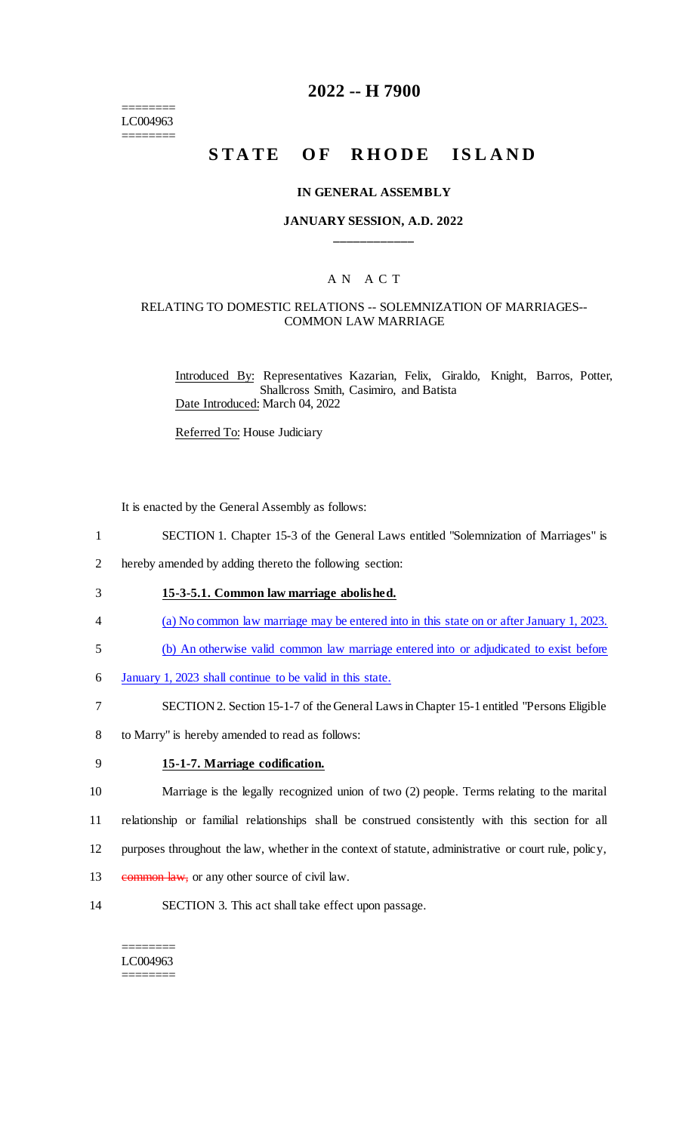======== LC004963 ========

## **2022 -- H 7900**

# **STATE OF RHODE ISLAND**

#### **IN GENERAL ASSEMBLY**

### **JANUARY SESSION, A.D. 2022 \_\_\_\_\_\_\_\_\_\_\_\_**

# A N A C T

### RELATING TO DOMESTIC RELATIONS -- SOLEMNIZATION OF MARRIAGES-- COMMON LAW MARRIAGE

Introduced By: Representatives Kazarian, Felix, Giraldo, Knight, Barros, Potter, Shallcross Smith, Casimiro, and Batista Date Introduced: March 04, 2022

Referred To: House Judiciary

It is enacted by the General Assembly as follows:

- 1 SECTION 1. Chapter 15-3 of the General Laws entitled "Solemnization of Marriages" is
- 2 hereby amended by adding thereto the following section:
- 3 **15-3-5.1. Common law marriage abolished.**
- 4 (a) No common law marriage may be entered into in this state on or after January 1, 2023.
- 5 (b) An otherwise valid common law marriage entered into or adjudicated to exist before
- 6 January 1, 2023 shall continue to be valid in this state.
- 7 SECTION 2. Section 15-1-7 of the General Laws in Chapter 15-1 entitled "Persons Eligible
- 8 to Marry" is hereby amended to read as follows:
- 

### 9 **15-1-7. Marriage codification.**

10 Marriage is the legally recognized union of two (2) people. Terms relating to the marital 11 relationship or familial relationships shall be construed consistently with this section for all 12 purposes throughout the law, whether in the context of statute, administrative or court rule, policy,

- 13 common law, or any other source of civil law.
- 
- 14 SECTION 3. This act shall take effect upon passage.

#### ======== LC004963 ========